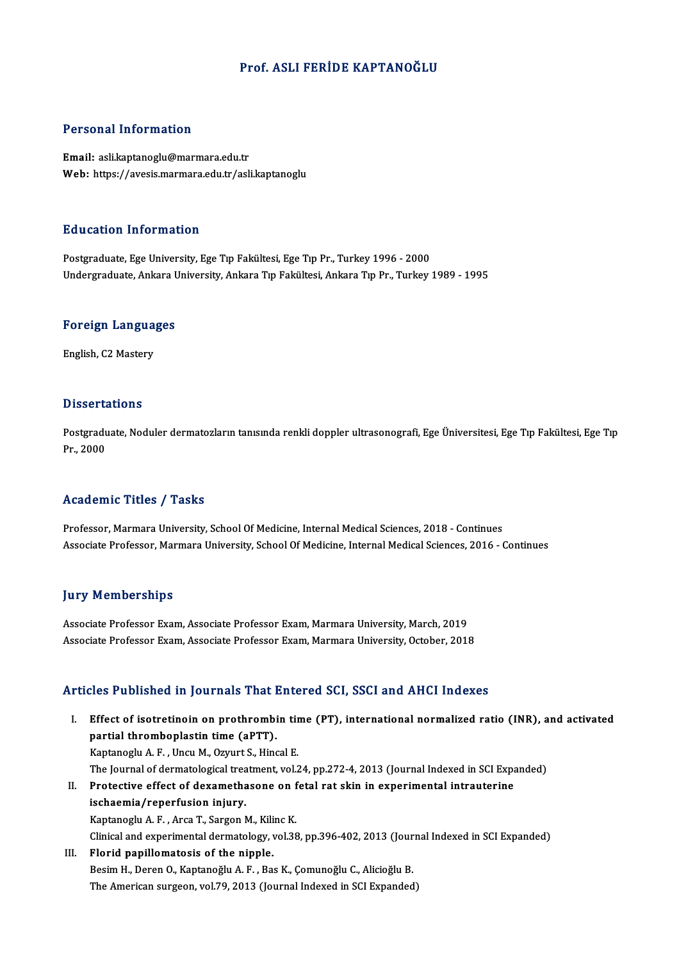#### Prof. ASLI FERİDE KAPTANOĞLU

#### Personal Information

Email: asli.kaptanoglu@marmara.edu.tr Web: https://avesis.marmara.edu.tr/asli.kaptanoglu

#### Education Information

Postgraduate, Ege University, Ege Tıp Fakültesi, Ege Tıp Pr., Turkey 1996 - 2000 Undergraduate, Ankara University, Ankara Tıp Fakültesi, Ankara Tıp Pr., Turkey 1989 - 1995

### <sub>ondergraduate, Ankara t<br>Foreign Languages</sub> F<mark>oreign Langua</mark><br>English, C2 Mastery

English, C2 Mastery<br>Dissertations

Dissertations<br>Postgraduate, Noduler dermatozların tanısında renkli doppler ultrasonografi, Ege Üniversitesi, Ege Tıp Fakültesi, Ege Tıp<br>Pr. 2000 Postgradu<br>Postgradu<br>Pr., 2000

## Pr., 2000<br>Academic Titles / Tasks

Professor, Marmara University, School Of Medicine, Internal Medical Sciences, 2018 - Continues Associate Professor, Marmara University, School Of Medicine, Internal Medical Sciences, 2016 - Continues

#### **Jury Memberships**

Associate Professor Exam, Associate Professor Exam, Marmara University, March, 2019 Associate Professor Exam, Associate Professor Exam, Marmara University, October, 2018

#### Articles Published in Journals That Entered SCI, SSCI and AHCI Indexes

rticles Published in Journals That Entered SCI, SSCI and AHCI Indexes<br>I. Effect of isotretinoin on prothrombin time (PT), international normalized ratio (INR), and activated<br>nartial thrombaniastin time (ePTT) partial thrombox in your nate of<br>Effect of isotretinoin on prothrombi<br>partial thromboplastin time (aPTT).<br>Kantanachy A. E., Ungu M. Ozuurt S. Hing Effect of isotretinoin on prothrombin tir<br>partial thromboplastin time (aPTT).<br>Kaptanoglu A. F. , Uncu M., Ozyurt S., Hincal E.<br>The Journal of dermatelegical treatment, val 3 partial thromboplastin time (aPTT).<br>Kaptanoglu A. F. , Uncu M., Ozyurt S., Hincal E.<br>The Journal of dermatological treatment, vol.24, pp.272-4, 2013 (Journal Indexed in SCI Expanded) Kaptanoglu A. F. , Uncu M., Ozyurt S., Hincal E.<br>The Journal of dermatological treatment, vol.24, pp.272-4, 2013 (Journal Indexed in SCI Expansion (representation in intervals)<br>I. Protective effect of dexamethasone on feta The Journal of dermatological trea<br>Protective effect of dexametha<br>ischaemia/reperfusion injury.<br>Kantanesh: A.E., Arsa T. Sarsan M Protective effect of dexamethasone on f<br>ischaemia/reperfusion injury.<br>Kaptanoglu A. F. , Arca T., Sargon M., Kilinc K.<br>Clinical and experimental dermatelegy vol 29 ischaemia/reperfusion injury.<br>Kaptanoglu A. F. , Arca T., Sargon M., Kilinc K.<br>Clinical and experimental dermatology, vol.38, pp.396-402, 2013 (Journal Indexed in SCI Expanded)<br>Elorid nonillemategia of the ninnle Kaptanoglu A. F. , Arca T., Sargon M., Kilinc K.<br>Clinical and experimental dermatology, vol.38, pp.396-402, 2013 (Jour<br>III. Florid papillomatosis of the nipple.<br>Besim H., Deren O., Kaptanoğlu A. F. , Bas K., Comunoğlu C., Clinical and experimental dermatology, vol.38, pp.396-402, 2013 (Jour<br>Florid papillomatosis of the nipple.<br>Besim H., Deren O., Kaptanoğlu A. F. , Bas K., Çomunoğlu C., Alicioğlu B.<br>The American surgean vol.79, 2012 (Journa

The American surgeon, vol.79, 2013 (Journal Indexed in SCI Expanded)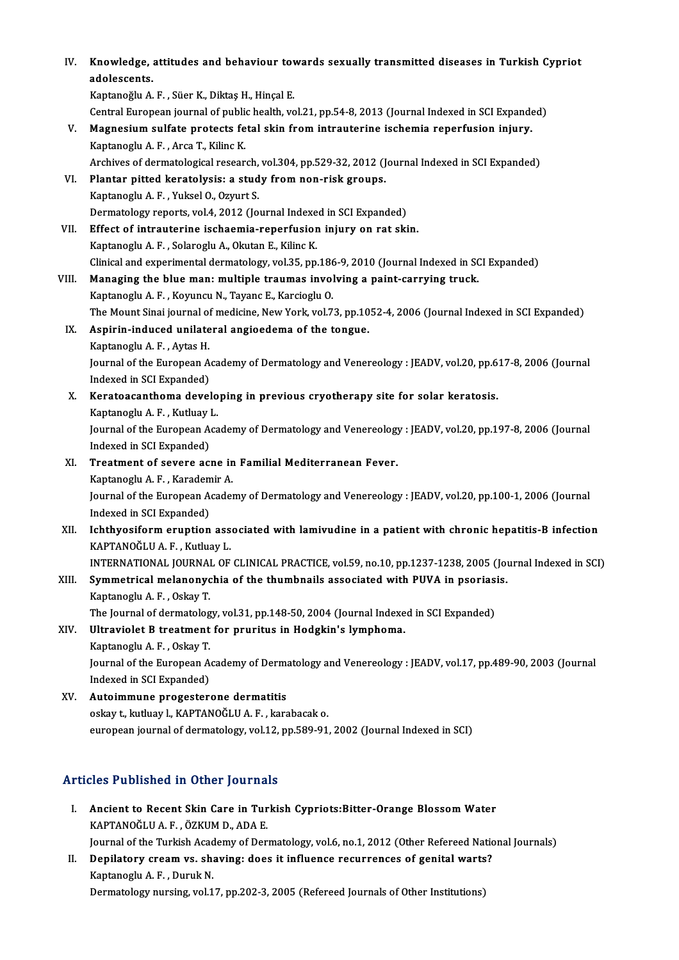| IV.   | Knowledge, attitudes and behaviour towards sexually transmitted diseases in Turkish Cypriot              |
|-------|----------------------------------------------------------------------------------------------------------|
|       | adolescents.                                                                                             |
|       | Kaptanoğlu A.F., Süer K., Diktaş H., Hinçal E.                                                           |
|       | Central European journal of public health, vol.21, pp.54-8, 2013 (Journal Indexed in SCI Expanded)       |
| V.    | Magnesium sulfate protects fetal skin from intrauterine ischemia reperfusion injury.                     |
|       | Kaptanoglu A. F., Arca T., Kilinc K.                                                                     |
|       | Archives of dermatological research, vol.304, pp.529-32, 2012 (Journal Indexed in SCI Expanded)          |
| VI.   | Plantar pitted keratolysis: a study from non-risk groups.                                                |
|       | Kaptanoglu A. F., Yuksel O., Ozyurt S.                                                                   |
|       | Dermatology reports, vol.4, 2012 (Journal Indexed in SCI Expanded)                                       |
| VII.  | Effect of intrauterine ischaemia-reperfusion injury on rat skin.                                         |
|       | Kaptanoglu A. F., Solaroglu A., Okutan E., Kilinc K.                                                     |
|       | Clinical and experimental dermatology, vol.35, pp.186-9, 2010 (Journal Indexed in SCI Expanded)          |
| VIII. | Managing the blue man: multiple traumas involving a paint-carrying truck.                                |
|       | Kaptanoglu A. F., Koyuncu N., Tayanc E., Karcioglu O.                                                    |
|       | The Mount Sinai journal of medicine, New York, vol.73, pp.1052-4, 2006 (Journal Indexed in SCI Expanded) |
| IX.   | Aspirin-induced unilateral angioedema of the tongue.                                                     |
|       | Kaptanoglu A. F., Aytas H.                                                                               |
|       | Journal of the European Academy of Dermatology and Venereology : JEADV, vol.20, pp.617-8, 2006 (Journal  |
|       | Indexed in SCI Expanded)                                                                                 |
| Х.    | Keratoacanthoma developing in previous cryotherapy site for solar keratosis.                             |
|       | Kaptanoglu A. F., Kutluay L.                                                                             |
|       | Journal of the European Academy of Dermatology and Venereology : JEADV, vol.20, pp.197-8, 2006 (Journal  |
|       | Indexed in SCI Expanded)                                                                                 |
| XI.   | Treatment of severe acne in Familial Mediterranean Fever.                                                |
|       | Kaptanoglu A F., Karademir A.                                                                            |
|       | Journal of the European Academy of Dermatology and Venereology : JEADV, vol.20, pp.100-1, 2006 (Journal  |
|       | Indexed in SCI Expanded)                                                                                 |
|       | XII. Ichthyosiform eruption associated with lamivudine in a patient with chronic hepatitis-B infection   |
|       | KAPTANOĞLU A.F., Kutluay L.                                                                              |
|       | INTERNATIONAL JOURNAL OF CLINICAL PRACTICE, vol.59, no.10, pp.1237-1238, 2005 (Journal Indexed in SCI)   |
| XIII. | Symmetrical melanonychia of the thumbnails associated with PUVA in psoriasis.                            |
|       | Kaptanoglu A F., Oskay T.                                                                                |
|       | The Journal of dermatology, vol.31, pp.148-50, 2004 (Journal Indexed in SCI Expanded)                    |
| XIV.  | Ultraviolet B treatment for pruritus in Hodgkin's lymphoma.                                              |
|       | Kaptanoglu A. F., Oskay T.                                                                               |
|       | Journal of the European Academy of Dermatology and Venereology : JEADV, vol.17, pp.489-90, 2003 (Journal |
|       | Indexed in SCI Expanded)                                                                                 |
| XV.   | Autoimmune progesterone dermatitis                                                                       |
|       | oskay t., kutluay l., KAPTANOĞLU A. F., karabacak o.                                                     |
|       | european journal of dermatology, vol.12, pp.589-91, 2002 (Journal Indexed in SCI)                        |
|       |                                                                                                          |

### Articles Published in Other Journals

- Tricles Published in Other Journals<br>I. Ancient to Recent Skin Care in Turkish Cypriots:Bitter-Orange Blossom Water XIII I USHBHIGU III OTHER JOURNAL.<br>Ancient to Recent Skin Care in Tur<br>KAPTANOĞLU A. F. , ÖZKUM D., ADA E. Ancient to Recent Skin Care in Turkish Cypriots:Bitter-Orange Blossom Water<br>KAPTANOĞLU A. F. , ÖZKUM D., ADA E.<br>Journal of the Turkish Academy of Dermatology, vol.6, no.1, 2012 (Other Refereed National Journals)<br>Dopilatory KAPTANOĞLU A. F. , ÖZKUM D., ADA E.<br>Journal of the Turkish Academy of Dermatology, vol.6, no.1, 2012 (Other Refereed National Depilatory cream vs. shaving: does it influence recurrences of genital warts?<br>Kantapesiy A. F. D
- Journal of the Turkish Acad<br>Depilatory cream vs. sh:<br>Kaptanoglu A. F. , Duruk N.<br>Dormatalogu nursing vol 1 II. Depilatory cream vs. shaving: does it influence recurrences of genital warts?<br>Kaptanoglu A. F., Duruk N.<br>Dermatology nursing, vol.17, pp.202-3, 2005 (Refereed Journals of Other Institutions)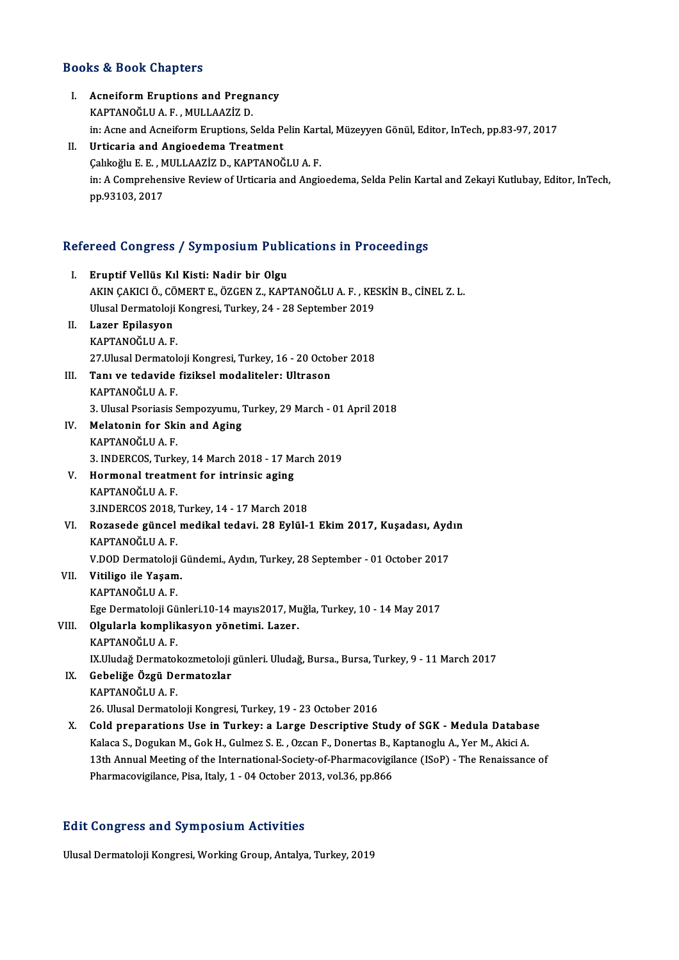# Books&Book Chapters

| <b>Books &amp; Book Chapters</b> |                                                                                                                                                                                   |
|----------------------------------|-----------------------------------------------------------------------------------------------------------------------------------------------------------------------------------|
| L.                               | <b>Acneiform Eruptions and Pregnancy</b><br>KAPTANOĞLU A.F., MULLAAZİZ D.<br>in: Acne and Acneiform Eruptions, Selda Pelin Kartal, Müzeyyen Gönül, Editor, InTech, pp.83-97, 2017 |
| П.                               | Urticaria and Angioedema Treatment                                                                                                                                                |
|                                  | Çalıkoğlu E.E., MULLAAZİZ D., KAPTANOĞLU A.F.                                                                                                                                     |
|                                  | in: A Comprehensive Review of Urticaria and Angioedema, Selda Pelin Kartal and Zekayi Kutlubay, Editor, InTech,<br>pp 93103, 2017                                                 |
|                                  | Refereed Congress / Symposium Publications in Proceedings                                                                                                                         |
| L.                               | Eruptif Vellüs Kıl Kisti: Nadir bir Olgu                                                                                                                                          |
|                                  | AKIN ÇAKICI Ö., CÖMERT E., ÖZGEN Z., KAPTANOĞLU A. F., KESKİN B., CİNEL Z. L.                                                                                                     |
|                                  | Ulusal Dermatoloji Kongresi, Turkey, 24 - 28 September 2019                                                                                                                       |
| П.                               | Lazer Epilasyon                                                                                                                                                                   |
|                                  | KAPTANOĞLU A F                                                                                                                                                                    |
|                                  | 27 Ulusal Dermatoloji Kongresi, Turkey, 16 - 20 October 2018                                                                                                                      |
| III.                             | Tanı ve tedavide fiziksel modaliteler: Ultrason                                                                                                                                   |
|                                  | KAPTANOĞLU A.F.                                                                                                                                                                   |
| IV.                              | 3. Ulusal Psoriasis Sempozyumu, Turkey, 29 March - 01 April 2018<br>Melatonin for Skin and Aging                                                                                  |
|                                  | KAPTANOĞLU A.F.                                                                                                                                                                   |
|                                  | 3. INDERCOS, Turkey, 14 March 2018 - 17 March 2019                                                                                                                                |
| V.                               | Hormonal treatment for intrinsic aging                                                                                                                                            |
|                                  | KAPTANOĞLU A F                                                                                                                                                                    |
|                                  | 3.INDERCOS 2018, Turkey, 14 - 17 March 2018                                                                                                                                       |
| VI.                              | Rozasede güncel medikal tedavi. 28 Eylül-1 Ekim 2017, Kuşadası, Aydın                                                                                                             |
|                                  | KAPTANOĞLU A F                                                                                                                                                                    |
|                                  | V.DOD Dermatoloji Gündemi, Aydın, Turkey, 28 September - 01 October 2017                                                                                                          |
| VII.                             | Vitiligo ile Yaşam.                                                                                                                                                               |
|                                  | KAPTANOĞLU A F                                                                                                                                                                    |
|                                  | Ege Dermatoloji Günleri 10-14 mayıs2017, Muğla, Turkey, 10 - 14 May 2017                                                                                                          |
| VIII.                            | Olgularla komplikasyon yönetimi. Lazer.                                                                                                                                           |
|                                  | KAPTANOĞLU A F                                                                                                                                                                    |
|                                  | IX.Uludağ Dermatokozmetoloji günleri. Uludağ, Bursa., Bursa, Turkey, 9 - 11 March 2017                                                                                            |
| IX.                              | Gebeliğe Özgü Dermatozlar<br>KAPTANOĞLU A.F.                                                                                                                                      |
|                                  | 26. Ulusal Dermatoloji Kongresi, Turkey, 19 - 23 October 2016                                                                                                                     |
| Х.                               | Cold preparations Use in Turkey: a Large Descriptive Study of SGK - Medula Database                                                                                               |
|                                  | Kalaca S., Dogukan M., Gok H., Gulmez S. E., Ozcan F., Donertas B., Kaptanoglu A., Yer M., Akici A.                                                                               |
|                                  | 13th Annual Meeting of the International-Society-of-Pharmacovigilance (ISoP) - The Renaissance of                                                                                 |
|                                  | Pharmacovigilance, Pisa, Italy, 1 - 04 October 2013, vol.36, pp.866                                                                                                               |
|                                  |                                                                                                                                                                                   |
|                                  |                                                                                                                                                                                   |

### Edit Congress and Symposium Activities

Ulusal Dermatoloji Kongresi, Working Group, Antalya, Turkey, 2019